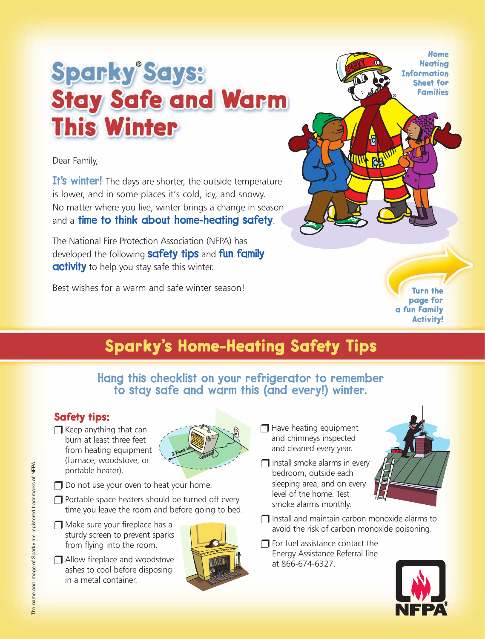## **Sparky Says: Stay Safe and Warm This Winter**

Dear Family,

It's winter! The days are shorter, the outside temperature is lower, and in some places it's cold, icy, and snowy. No matter where you live, winter brings a change in season and a time to think about home-heating safety.

The National Fire Protection Association (NFPA) has developed the following **safety tips** and **fun family activity** to help you stay safe this winter.

Best wishes for a warm and safe winter season!

**Home Heating Information Sheet for Families**

**Turn the page for a fun Family Activity!**

## **Sparky's Home-Heating Safety Tips**

Hang this checklist on your refrigerator to remember to stay safe and warm this (and every!) winter.

## **Safety tips:**

 $\Box$  Keep anything that can burn at least three feet from heating equipment (furnace, woodstove, or portable heater).



- $\Box$  Do not use your oven to heat your home.
- ❒ Portable space heaters should be turned off every time you leave the room and before going to bed.
- ❒ Make sure your fireplace has a sturdy screen to prevent sparks from flying into the room.
- ❒ Allow fireplace and woodstove ashes to cool before disposing in a metal container.



- ❒ Have heating equipment and chimneys inspected and cleaned every year.
- $\Box$  Install smoke alarms in every bedroom, outside each sleeping area, and on every level of the home. Test smoke alarms monthly.



- ❒ Install and maintain carbon monoxide alarms to avoid the risk of carbon monoxide poisoning.
- $\Box$  For fuel assistance contact the Energy Assistance Referral line at 866-674-6327.